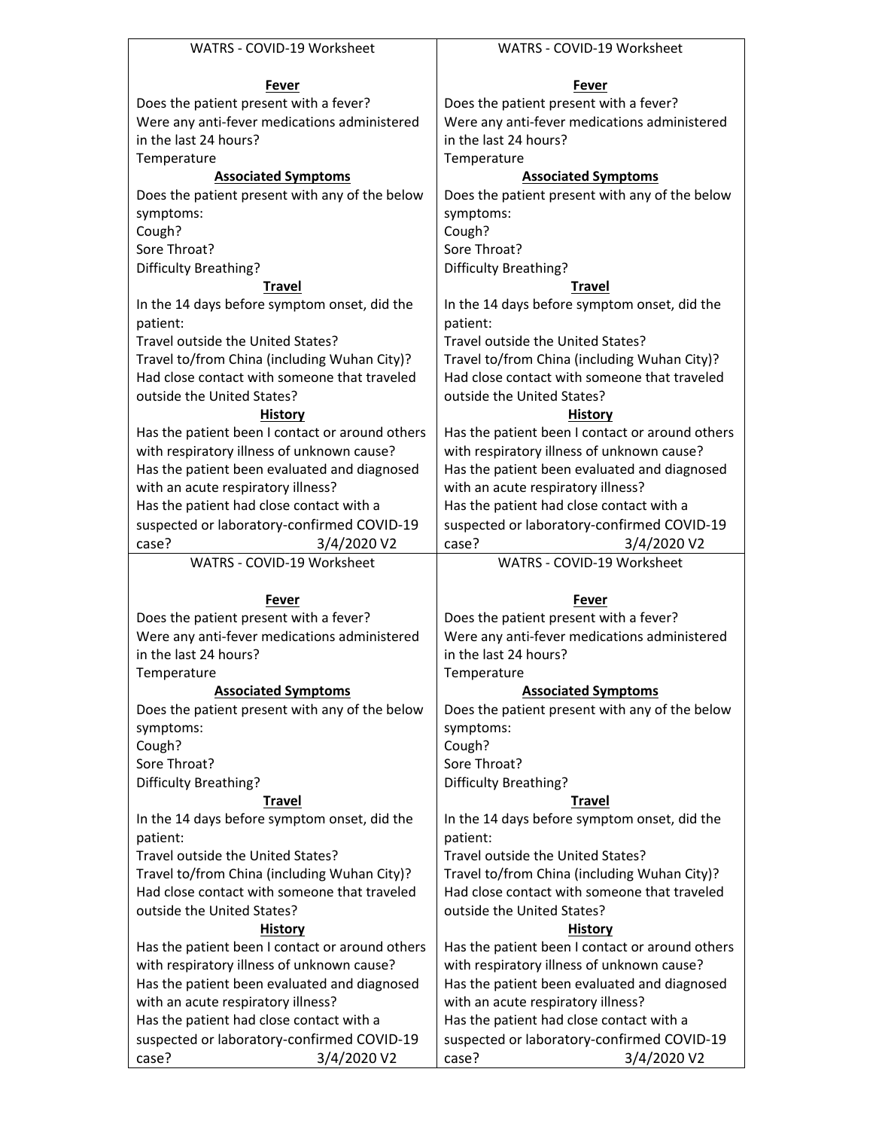| WATRS - COVID-19 Worksheet                                         | WATRS - COVID-19 Worksheet                                         |  |  |
|--------------------------------------------------------------------|--------------------------------------------------------------------|--|--|
|                                                                    |                                                                    |  |  |
| Fever                                                              | Fever                                                              |  |  |
| Does the patient present with a fever?                             | Does the patient present with a fever?                             |  |  |
| Were any anti-fever medications administered                       | Were any anti-fever medications administered                       |  |  |
| in the last 24 hours?                                              | in the last 24 hours?                                              |  |  |
| Temperature                                                        | Temperature                                                        |  |  |
| <b>Associated Symptoms</b>                                         | <b>Associated Symptoms</b>                                         |  |  |
| Does the patient present with any of the below                     | Does the patient present with any of the below                     |  |  |
| symptoms:                                                          | symptoms:                                                          |  |  |
| Cough?                                                             | Cough?                                                             |  |  |
| Sore Throat?                                                       | Sore Throat?                                                       |  |  |
| Difficulty Breathing?                                              | Difficulty Breathing?                                              |  |  |
| <b>Travel</b>                                                      | <b>Travel</b>                                                      |  |  |
| In the 14 days before symptom onset, did the                       | In the 14 days before symptom onset, did the                       |  |  |
| patient:                                                           | patient:                                                           |  |  |
| Travel outside the United States?                                  | Travel outside the United States?                                  |  |  |
| Travel to/from China (including Wuhan City)?                       | Travel to/from China (including Wuhan City)?                       |  |  |
| Had close contact with someone that traveled                       | Had close contact with someone that traveled                       |  |  |
| outside the United States?                                         | outside the United States?                                         |  |  |
| <b>History</b>                                                     | <b>History</b>                                                     |  |  |
| Has the patient been I contact or around others                    | Has the patient been I contact or around others                    |  |  |
| with respiratory illness of unknown cause?                         | with respiratory illness of unknown cause?                         |  |  |
| Has the patient been evaluated and diagnosed                       | Has the patient been evaluated and diagnosed                       |  |  |
| with an acute respiratory illness?                                 | with an acute respiratory illness?                                 |  |  |
| Has the patient had close contact with a                           | Has the patient had close contact with a                           |  |  |
| suspected or laboratory-confirmed COVID-19                         | suspected or laboratory-confirmed COVID-19                         |  |  |
| case?<br>3/4/2020 V2                                               | case?<br>3/4/2020 V2                                               |  |  |
|                                                                    |                                                                    |  |  |
|                                                                    |                                                                    |  |  |
| WATRS - COVID-19 Worksheet                                         | WATRS - COVID-19 Worksheet                                         |  |  |
|                                                                    |                                                                    |  |  |
| Fever                                                              | Fever                                                              |  |  |
| Does the patient present with a fever?                             | Does the patient present with a fever?                             |  |  |
| Were any anti-fever medications administered                       | Were any anti-fever medications administered                       |  |  |
| in the last 24 hours?                                              | in the last 24 hours?                                              |  |  |
| Temperature                                                        | Temperature                                                        |  |  |
| <b>Associated Symptoms</b>                                         | <b>Associated Symptoms</b>                                         |  |  |
| Does the patient present with any of the below                     | Does the patient present with any of the below                     |  |  |
| symptoms:                                                          | symptoms:                                                          |  |  |
| Cough?                                                             | Cough?                                                             |  |  |
| Sore Throat?                                                       | Sore Throat?                                                       |  |  |
| Difficulty Breathing?                                              | Difficulty Breathing?                                              |  |  |
| <b>Travel</b>                                                      | <b>Travel</b>                                                      |  |  |
| In the 14 days before symptom onset, did the                       | In the 14 days before symptom onset, did the                       |  |  |
| patient:                                                           | patient:                                                           |  |  |
| Travel outside the United States?                                  | Travel outside the United States?                                  |  |  |
| Travel to/from China (including Wuhan City)?                       | Travel to/from China (including Wuhan City)?                       |  |  |
| Had close contact with someone that traveled                       | Had close contact with someone that traveled                       |  |  |
| outside the United States?                                         | outside the United States?                                         |  |  |
| <b>History</b>                                                     | <b>History</b>                                                     |  |  |
| Has the patient been I contact or around others                    | Has the patient been I contact or around others                    |  |  |
| with respiratory illness of unknown cause?                         | with respiratory illness of unknown cause?                         |  |  |
| Has the patient been evaluated and diagnosed                       | Has the patient been evaluated and diagnosed                       |  |  |
| with an acute respiratory illness?                                 | with an acute respiratory illness?                                 |  |  |
| Has the patient had close contact with a                           | Has the patient had close contact with a                           |  |  |
| suspected or laboratory-confirmed COVID-19<br>case?<br>3/4/2020 V2 | suspected or laboratory-confirmed COVID-19<br>3/4/2020 V2<br>case? |  |  |